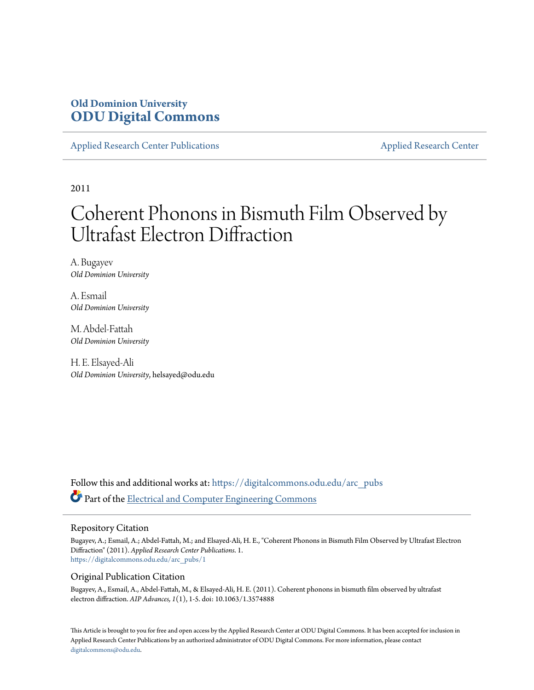## **Old Dominion University [ODU Digital Commons](https://digitalcommons.odu.edu?utm_source=digitalcommons.odu.edu%2Farc_pubs%2F1&utm_medium=PDF&utm_campaign=PDFCoverPages)**

[Applied Research Center Publications](https://digitalcommons.odu.edu/arc_pubs?utm_source=digitalcommons.odu.edu%2Farc_pubs%2F1&utm_medium=PDF&utm_campaign=PDFCoverPages) [Applied Research Center](https://digitalcommons.odu.edu/arc?utm_source=digitalcommons.odu.edu%2Farc_pubs%2F1&utm_medium=PDF&utm_campaign=PDFCoverPages)

2011

# Coherent Phonons in Bismuth Film Observed by Ultrafast Electron Diffraction

A. Bugayev *Old Dominion University*

A. Esmail *Old Dominion University*

M. Abdel-Fattah *Old Dominion University*

H. E. Elsayed-Ali *Old Dominion University*, helsayed@odu.edu

Follow this and additional works at: [https://digitalcommons.odu.edu/arc\\_pubs](https://digitalcommons.odu.edu/arc_pubs?utm_source=digitalcommons.odu.edu%2Farc_pubs%2F1&utm_medium=PDF&utm_campaign=PDFCoverPages) Part of the [Electrical and Computer Engineering Commons](http://network.bepress.com/hgg/discipline/266?utm_source=digitalcommons.odu.edu%2Farc_pubs%2F1&utm_medium=PDF&utm_campaign=PDFCoverPages)

#### Repository Citation

Bugayev, A.; Esmail, A.; Abdel-Fattah, M.; and Elsayed-Ali, H. E., "Coherent Phonons in Bismuth Film Observed by Ultrafast Electron Diffraction" (2011). *Applied Research Center Publications*. 1. [https://digitalcommons.odu.edu/arc\\_pubs/1](https://digitalcommons.odu.edu/arc_pubs/1?utm_source=digitalcommons.odu.edu%2Farc_pubs%2F1&utm_medium=PDF&utm_campaign=PDFCoverPages)

#### Original Publication Citation

Bugayev, A., Esmail, A., Abdel-Fattah, M., & Elsayed-Ali, H. E. (2011). Coherent phonons in bismuth film observed by ultrafast electron diffraction. *AIP Advances, 1*(1), 1-5. doi: 10.1063/1.3574888

This Article is brought to you for free and open access by the Applied Research Center at ODU Digital Commons. It has been accepted for inclusion in Applied Research Center Publications by an authorized administrator of ODU Digital Commons. For more information, please contact [digitalcommons@odu.edu.](mailto:digitalcommons@odu.edu)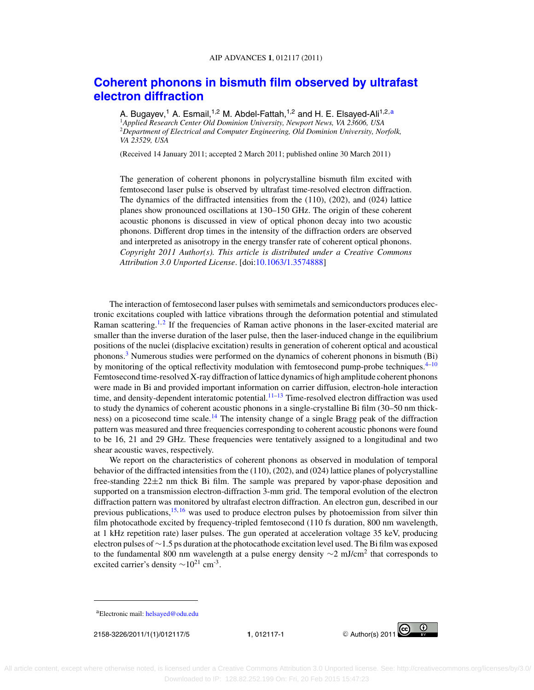### **[Coherent phonons in bismuth film observed by ultrafast](http://dx.doi.org/10.1063/1.3574888) [electron diffraction](http://dx.doi.org/10.1063/1.3574888)**

A. Bugayev,<sup>1</sup> A. Esmail,<sup>1,2</sup> M. Abdel-Fattah,<sup>1,2</sup> and H. E. Elsayed-Ali<sup>1,2,a</sup> <sup>1</sup>*Applied Research Center Old Dominion University, Newport News, VA 23606, USA* <sup>2</sup>*Department of Electrical and Computer Engineering, Old Dominion University, Norfolk, VA 23529, USA*

(Received 14 January 2011; accepted 2 March 2011; published online 30 March 2011)

The generation of coherent phonons in polycrystalline bismuth film excited with femtosecond laser pulse is observed by ultrafast time-resolved electron diffraction. The dynamics of the diffracted intensities from the (110), (202), and (024) lattice planes show pronounced oscillations at 130–150 GHz. The origin of these coherent acoustic phonons is discussed in view of optical phonon decay into two acoustic phonons. Different drop times in the intensity of the diffraction orders are observed and interpreted as anisotropy in the energy transfer rate of coherent optical phonons. *Copyright 2011 Author(s). This article is distributed under a Creative Commons Attribution 3.0 Unported License*. [doi[:10.1063/1.3574888\]](http://dx.doi.org/10.1063/1.3574888)

The interaction of femtosecond laser pulses with semimetals and semiconductors produces electronic excitations coupled with lattice vibrations through the deformation potential and stimulated Raman scattering.<sup>[1,](#page-5-0)[2](#page-5-0)</sup> If the frequencies of Raman active phonons in the laser-excited material are smaller than the inverse duration of the laser pulse, then the laser-induced change in the equilibrium positions of the nuclei (displacive excitation) results in generation of coherent optical and acoustical phonons.<sup>[3](#page-5-0)</sup> Numerous studies were performed on the dynamics of coherent phonons in bismuth (Bi) by monitoring of the optical reflectivity modulation with femtosecond pump-probe techniques. $4\text{-}10$ Femtosecond time-resolved X-ray diffraction of lattice dynamics of high amplitude coherent phonons were made in Bi and provided important information on carrier diffusion, electron-hole interaction time, and density-dependent interatomic potential.<sup>11-13</sup> Time-resolved electron diffraction was used to study the dynamics of coherent acoustic phonons in a single-crystalline Bi film (30–50 nm thickness) on a picosecond time scale.<sup>14</sup> The intensity change of a single Bragg peak of the diffraction pattern was measured and three frequencies corresponding to coherent acoustic phonons were found to be 16, 21 and 29 GHz. These frequencies were tentatively assigned to a longitudinal and two shear acoustic waves, respectively.

We report on the characteristics of coherent phonons as observed in modulation of temporal behavior of the diffracted intensities from the (110), (202), and (024) lattice planes of polycrystalline free-standing 22±2 nm thick Bi film. The sample was prepared by vapor-phase deposition and supported on a transmission electron-diffraction 3-mm grid. The temporal evolution of the electron diffraction pattern was monitored by ultrafast electron diffraction. An electron gun, described in our previous publications, $15, 16$  $15, 16$  $15, 16$  was used to produce electron pulses by photoemission from silver thin film photocathode excited by frequency-tripled femtosecond (110 fs duration, 800 nm wavelength, at 1 kHz repetition rate) laser pulses. The gun operated at acceleration voltage 35 keV, producing electron pulses of ∼1.5 ps duration at the photocathode excitation level used. The Bi film was exposed to the fundamental 800 nm wavelength at a pulse energy density  $\sim$ 2 mJ/cm<sup>2</sup> that corresponds to excited carrier's density  $\sim 10^{21}$  cm<sup>-3</sup>.



aElectronic mail: [helsayed@odu.edu](mailto: helsayed@odu.edu)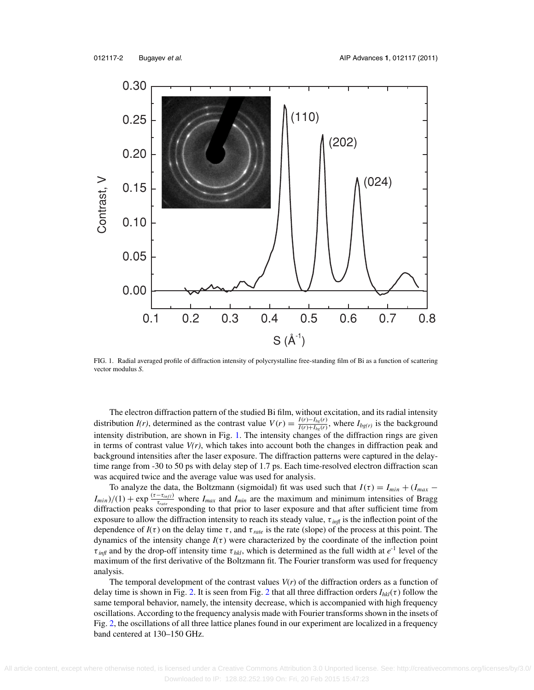

FIG. 1. Radial averaged profile of diffraction intensity of polycrystalline free-standing film of Bi as a function of scattering vector modulus *S*.

The electron diffraction pattern of the studied Bi film, without excitation, and its radial intensity distribution *I(r)*, determined as the contrast value  $V(r) = \frac{I(r) - I_{bg}(r)}{I(r) + I_{bg}(r)}$ , where  $I_{bg(r)}$  is the background intensity distribution, are shown in Fig. 1. The intensity changes of the diffraction rings are given in terms of contrast value  $V(r)$ , which takes into account both the changes in diffraction peak and background intensities after the laser exposure. The diffraction patterns were captured in the delaytime range from -30 to 50 ps with delay step of 1.7 ps. Each time-resolved electron diffraction scan was acquired twice and the average value was used for analysis.

To analyze the data, the Boltzmann (sigmoidal) fit was used such that  $I(\tau) = I_{min} + (I_{max} - I_{min})$  $I_{min}$ )/(1) + exp  $\frac{(\tau - \tau_{infl})}{\tau_{rate}}$  where  $I_{max}$  and  $I_{min}$  are the maximum and minimum intensities of Bragg  $\frac{d}{dt}$  diffraction peaks corresponding to that prior to laser exposure and that after sufficient time from exposure to allow the diffraction intensity to reach its steady value, τ *infl* is the inflection point of the dependence of  $I(\tau)$  on the delay time  $\tau$ , and  $\tau_{\text{rate}}$  is the rate (slope) of the process at this point. The dynamics of the intensity change  $I(\tau)$  were characterized by the coordinate of the inflection point  $\tau_{\text{inf}}$  and by the drop-off intensity time  $\tau_{hkl}$ , which is determined as the full width at  $e^{-1}$  level of the maximum of the first derivative of the Boltzmann fit. The Fourier transform was used for frequency analysis.

The temporal development of the contrast values *V*(*r*) of the diffraction orders as a function of delay time is shown in Fig. [2.](#page-3-0) It is seen from Fig. [2](#page-3-0) that all three diffraction orders  $I_{hkl}(\tau)$  follow the same temporal behavior, namely, the intensity decrease, which is accompanied with high frequency oscillations. According to the frequency analysis made with Fourier transforms shown in the insets of Fig. [2,](#page-3-0) the oscillations of all three lattice planes found in our experiment are localized in a frequency band centered at 130–150 GHz.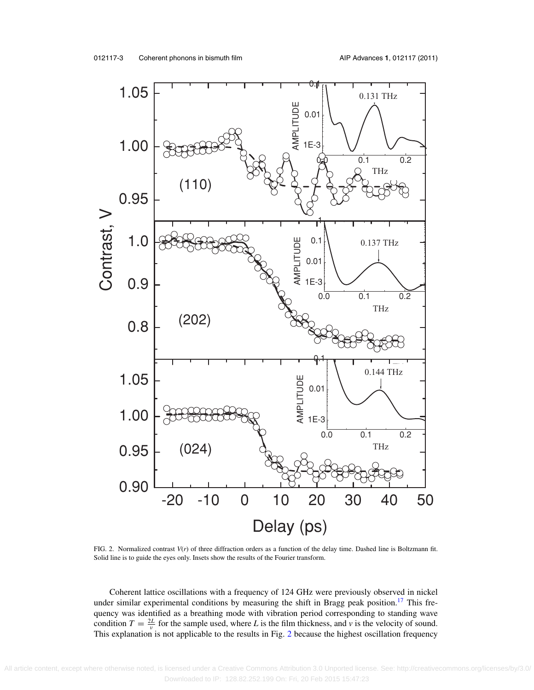<span id="page-3-0"></span>

FIG. 2. Normalized contrast *V*(*r*) of three diffraction orders as a function of the delay time. Dashed line is Boltzmann fit. Solid line is to guide the eyes only. Insets show the results of the Fourier transform.

Coherent lattice oscillations with a frequency of 124 GHz were previously observed in nickel under similar experimental conditions by measuring the shift in Bragg peak position.<sup>[17](#page-5-0)</sup> This frequency was identified as a breathing mode with vibration period corresponding to standing wave condition  $T = \frac{2L}{v}$  for the sample used, where *L* is the film thickness, and *v* is the velocity of sound. This explanation is not applicable to the results in Fig. 2 because the highest oscillation frequency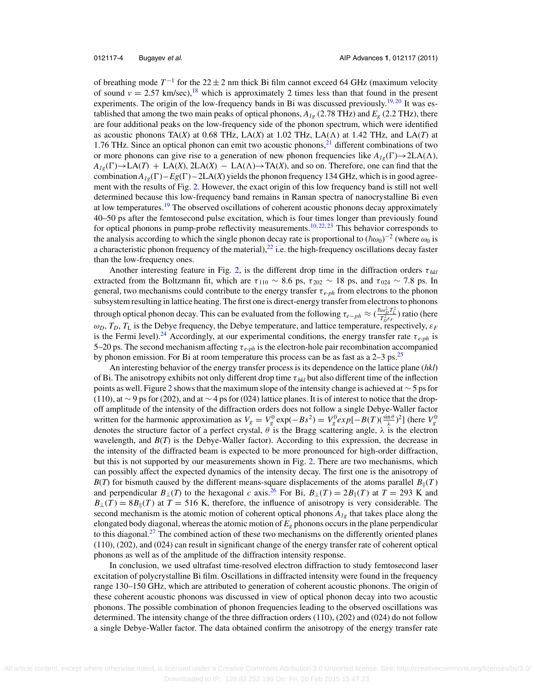of breathing mode  $T^{-1}$  for the 22  $\pm$  2 nm thick Bi film cannot exceed 64 GHz (maximum velocity of sound  $v = 2.57$  km/sec),<sup>18</sup> which is approximately 2 times less than that found in the present experiments. The origin of the low-frequency bands in Bi was discussed previously.<sup>19, [20](#page-5-0)</sup> It was established that among the two main peaks of optical phonons,  $A_{1g}$  (2.78 THz) and  $E_g$  (2.2 THz), there are four additional peaks on the low-frequency side of the phonon spectrum, which were identified as acoustic phonons  $TA(X)$  at 0.68 THz, LA $(X)$  at 1.02 THz, LA $(A)$  at 1.42 THz, and LA $(T)$  at 1.76 THz. Since an optical phonon can emit two acoustic phonons, $^{21}$  different combinations of two or more phonons can give rise to a generation of new phonon frequencies like  $A_{1\rho}(\Gamma) \rightarrow 2LA(\Lambda)$ ,  $A_{1g}(\Gamma) \to L\mathcal{A}(T) + L\mathcal{A}(X)$ ,  $2L\mathcal{A}(X) - L\mathcal{A}(\Lambda) \to T\mathcal{A}(X)$ , and so on. Therefore, one can find that the combination  $A_{1g}(\Gamma) - Eg(\Gamma) - 2LA(X)$  yields the phonon frequency 134 GHz, which is in good agreement with the results of Fig. [2.](#page-3-0) However, the exact origin of this low frequency band is still not well determined because this low-frequency band remains in Raman spectra of nanocrystalline Bi even at low temperatures.<sup>19</sup> The observed oscillations of coherent acoustic phonons decay approximately 40–50 ps after the femtosecond pulse excitation, which is four times longer than previously found for optical phonons in pump-probe reflectivity measurements.<sup>[10,](#page-5-0) [22,](#page-5-0) [23](#page-5-0)</sup> This behavior corresponds to the analysis according to which the single phonon decay rate is proportional to  $(\hbar\omega_0)^{-2}$  (where  $\omega_0$  is a characteristic phonon frequency of the material),  $^{22}$  i.e. the high-frequency oscillations decay faster than the low-frequency ones.

Another interesting feature in Fig. [2,](#page-3-0) is the different drop time in the diffraction orders  $\tau_{hkl}$ extracted from the Boltzmann fit, which are  $\tau_{110} \sim 8.6$  ps,  $\tau_{202} \sim 18$  ps, and  $\tau_{024} \sim 7.8$  ps. In general, two mechanisms could contribute to the energy transfer τ *e-ph* from electrons to the phonon subsystem resulting in lattice heating. The first one is direct-energy transfer from electrons to phonons through optical phonon decay. This can be evaluated from the following  $\tau_{e-ph} \approx (\frac{\hbar\omega_D^2 T_L^2}{T_D^2 \epsilon_F})$  ratio (here  $\omega_D$ ,  $T_D$ ,  $T_L$  is the Debye frequency, the Debye temperature, and lattice temperature, respectively,  $\varepsilon_F$ is the Fermi level).<sup>[24](#page-5-0)</sup> Accordingly, at our experimental conditions, the energy transfer rate  $\tau_{e-ph}$  is 5–20 ps. The second mechanism affecting  $\tau_{e-ph}$  is the electron-hole pair recombination accompanied by phonon emission. For Bi at room temperature this process can be as fast as a  $2-3$  ps.<sup>[25](#page-5-0)</sup>

An interesting behavior of the energy transfer process is its dependence on the lattice plane (*hkl*) of Bi. The anisotropy exhibits not only different drop time τ *hkl* but also different time of the inflection points as well. Figure [2](#page-3-0) shows that the maximum slope of the intensity change is achieved at ∼ 5 ps for (110), at ∼ 9 ps for (202), and at ∼ 4 ps for (024) lattice planes. It is of interest to notice that the dropoff amplitude of the intensity of the diffraction orders does not follow a single Debye-Waller factor written for the harmonic approximation as  $V_g = V_g^0 \exp(-Bs^2) = V_g^0 exp[-B(T)(\frac{\sin \theta}{\lambda})^2]$  (here  $V_g^0$ denotes the structure factor of a perfect crystal,  $\theta$  is the Bragg scattering angle,  $\lambda$  is the electron wavelength, and *B*(*T*) is the Debye-Waller factor). According to this expression, the decrease in the intensity of the diffracted beam is expected to be more pronounced for high-order diffraction, but this is not supported by our measurements shown in Fig. [2.](#page-3-0) There are two mechanisms, which can possibly affect the expected dynamics of the intensity decay. The first one is the anisotropy of  $B(T)$  for bismuth caused by the different means-square displacements of the atoms parallel  $B_{\parallel}(T)$ and perpendicular *B*<sub>⊥</sub>(*T*) to the hexagonal *c* axis.<sup>26</sup> For Bi, *B*<sub>⊥</sub>(*T*) = 2*B*<sub>|</sub>(*T*) at *T* = 293 K and  $B_{\perp}(T) = 8B_{\parallel}(T)$  at  $T = 516$  K, therefore, the influence of anisotropy is very considerable. The second mechanism is the atomic motion of coherent optical phonons *A1g* that takes place along the elongated body diagonal, whereas the atomic motion of  $E_g$  phonons occurs in the plane perpendicular to this diagonal.<sup>27</sup> The combined action of these two mechanisms on the differently oriented planes (110), (202), and (024) can result in significant change of the energy transfer rate of coherent optical phonons as well as of the amplitude of the diffraction intensity response.

In conclusion, we used ultrafast time-resolved electron diffraction to study femtosecond laser excitation of polycrystalline Bi film. Oscillations in diffracted intensity were found in the frequency range 130–150 GHz, which are attributed to generation of coherent acoustic phonons. The origin of these coherent acoustic phonons was discussed in view of optical phonon decay into two acoustic phonons. The possible combination of phonon frequencies leading to the observed oscillations was determined. The intensity change of the three diffraction orders (110), (202) and (024) do not follow a single Debye-Waller factor. The data obtained confirm the anisotropy of the energy transfer rate